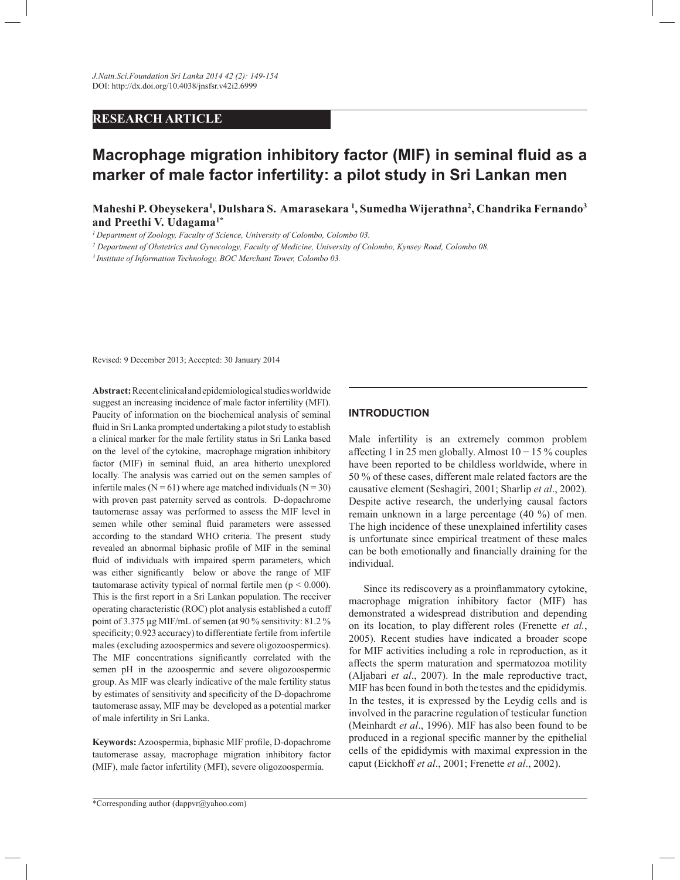## **RESEARCH ARTICLE**

# **Macrophage migration inhibitory factor (MIF) in seminal fluid as a marker of male factor infertility: a pilot study in Sri Lankan men**

**Maheshi P. Obeysekera<sup>1</sup> , Dulshara S. Amarasekara <sup>1</sup> , Sumedha Wijerathna<sup>2</sup> , Chandrika Fernando<sup>3</sup> and Preethi V. Udagama1\*** 

*<sup>1</sup>Department of Zoology, Faculty of Science, University of Colombo, Colombo 03.*

*2 Department of Obstetrics and Gynecology, Faculty of Medicine, University of Colombo, Kynsey Road, Colombo 08.*

*<sup>3</sup>Institute of Information Technology, BOC Merchant Tower, Colombo 03.*

Revised: 9 December 2013; Accepted: 30 January 2014

**Abstract:** Recent clinical and epidemiological studies worldwide suggest an increasing incidence of male factor infertility (MFI). Paucity of information on the biochemical analysis of seminal fluid in Sri Lanka prompted undertaking a pilot study to establish a clinical marker for the male fertility status in Sri Lanka based on the level of the cytokine, macrophage migration inhibitory factor (MIF) in seminal fluid, an area hitherto unexplored locally. The analysis was carried out on the semen samples of infertile males ( $N = 61$ ) where age matched individuals ( $N = 30$ ) with proven past paternity served as controls. D-dopachrome tautomerase assay was performed to assess the MIF level in semen while other seminal fluid parameters were assessed according to the standard WHO criteria. The present study revealed an abnormal biphasic profile of MIF in the seminal fluid of individuals with impaired sperm parameters, which was either significantly below or above the range of MIF tautomarase activity typical of normal fertile men ( $p < 0.000$ ). This is the first report in a Sri Lankan population. The receiver operating characteristic (ROC) plot analysis established a cutoff point of 3.375 µg MIF/mL of semen (at 90 % sensitivity: 81.2 % specificity; 0.923 accuracy) to differentiate fertile from infertile males (excluding azoospermics and severe oligozoospermics). The MIF concentrations significantly correlated with the semen pH in the azoospermic and severe oligozoospermic group. As MIF was clearly indicative of the male fertility status by estimates of sensitivity and specificity of the D-dopachrome tautomerase assay, MIF may be developed as a potential marker of male infertility in Sri Lanka.

**Keywords:** Azoospermia, biphasic MIF profile, D-dopachrome tautomerase assay, macrophage migration inhibitory factor (MIF), male factor infertility (MFI), severe oligozoospermia.

#### **INTRODUCTION**

Male infertility is an extremely common problem affecting 1 in 25 men globally. Almost 10 − 15 % couples have been reported to be childless worldwide, where in 50 % of these cases, different male related factors are the causative element (Seshagiri, 2001; Sharlip *et al*., 2002). Despite active research, the underlying causal factors remain unknown in a large percentage (40 %) of men. The high incidence of these unexplained infertility cases is unfortunate since empirical treatment of these males can be both emotionally and financially draining for the individual.

 Since its rediscovery as a proinflammatory cytokine, macrophage migration inhibitory factor (MIF) has demonstrated a widespread distribution and depending on its location, to play different roles (Frenette *et al.*, 2005). Recent studies have indicated a broader scope for MIF activities including a role in reproduction, as it affects the sperm maturation and spermatozoa motility (Aljabari *et al*., 2007). In the male reproductive tract, MIF has been found in both the testes and the epididymis. In the testes, it is expressed by the Leydig cells and is involved in the paracrine regulation of testicular function (Meinhardt *et al*., 1996). MIF has also been found to be produced in a regional specific manner by the epithelial cells of the epididymis with maximal expression in the caput (Eickhoff *et al*., 2001; Frenette *et al*., 2002).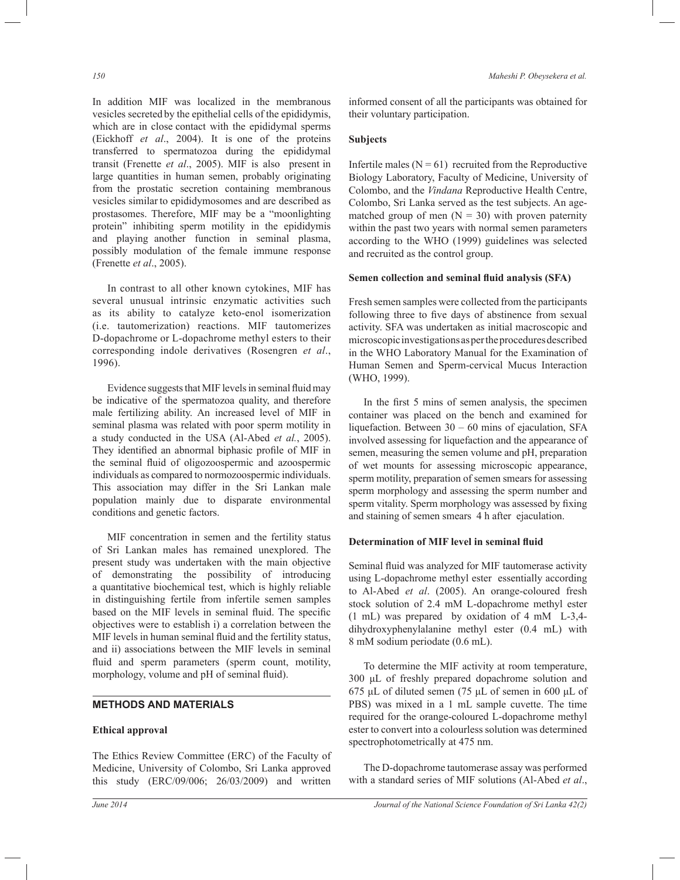In addition MIF was localized in the membranous vesicles secreted by the epithelial cells of the epididymis, which are in close contact with the epididymal sperms (Eickhoff *et al*., 2004). It is one of the proteins transferred to spermatozoa during the epididymal transit (Frenette *et al*., 2005). MIF is also present in large quantities in human semen, probably originating from the prostatic secretion containing membranous vesicles similar to epididymosomes and are described as prostasomes. Therefore, MIF may be a "moonlighting protein" inhibiting sperm motility in the epididymis and playing another function in seminal plasma, possibly modulation of the female immune response (Frenette *et al*., 2005).

 In contrast to all other known cytokines, MIF has several unusual intrinsic enzymatic activities such as its ability to catalyze keto-enol isomerization (i.e. tautomerization) reactions. MIF tautomerizes D-dopachrome or L-dopachrome methyl esters to their corresponding indole derivatives (Rosengren *et al*., 1996).

 Evidence suggests that MIF levels in seminal fluid may be indicative of the spermatozoa quality, and therefore male fertilizing ability. An increased level of MIF in seminal plasma was related with poor sperm motility in a study conducted in the USA (Al-Abed *et al.*, 2005). They identified an abnormal biphasic profile of MIF in the seminal fluid of oligozoospermic and azoospermic individuals as compared to normozoospermic individuals. This association may differ in the Sri Lankan male population mainly due to disparate environmental conditions and genetic factors.

 MIF concentration in semen and the fertility status of Sri Lankan males has remained unexplored. The present study was undertaken with the main objective of demonstrating the possibility of introducing a quantitative biochemical test, which is highly reliable in distinguishing fertile from infertile semen samples based on the MIF levels in seminal fluid. The specific objectives were to establish i) a correlation between the MIF levels in human seminal fluid and the fertility status, and ii) associations between the MIF levels in seminal fluid and sperm parameters (sperm count, motility, morphology, volume and pH of seminal fluid).

## **METHODS AND MATERIALS**

#### **Ethical approval**

The Ethics Review Committee (ERC) of the Faculty of Medicine, University of Colombo, Sri Lanka approved this study (ERC/09/006; 26/03/2009) and written

informed consent of all the participants was obtained for their voluntary participation.

## **Subjects**

Infertile males  $(N = 61)$  recruited from the Reproductive Biology Laboratory, Faculty of Medicine, University of Colombo, and the *Vindana* Reproductive Health Centre, Colombo, Sri Lanka served as the test subjects. An agematched group of men  $(N = 30)$  with proven paternity within the past two years with normal semen parameters according to the WHO (1999) guidelines was selected and recruited as the control group.

#### **Semen collection and seminal fluid analysis (SFA)**

Fresh semen samples were collected from the participants following three to five days of abstinence from sexual activity. SFA was undertaken as initial macroscopic and microscopic investigations as per the procedures described in the WHO Laboratory Manual for the Examination of Human Semen and Sperm-cervical Mucus Interaction (WHO, 1999).

 In the first 5 mins of semen analysis, the specimen container was placed on the bench and examined for liquefaction. Between 30 – 60 mins of ejaculation, SFA involved assessing for liquefaction and the appearance of semen, measuring the semen volume and pH, preparation of wet mounts for assessing microscopic appearance, sperm motility, preparation of semen smears for assessing sperm morphology and assessing the sperm number and sperm vitality. Sperm morphology was assessed by fixing and staining of semen smears 4 h after ejaculation.

#### **Determination of MIF level in seminal fluid**

Seminal fluid was analyzed for MIF tautomerase activity using L-dopachrome methyl ester essentially according to Al-Abed *et al*. (2005). An orange-coloured fresh stock solution of 2.4 mM L-dopachrome methyl ester (1 mL) was prepared by oxidation of 4 mM L-3,4 dihydroxyphenylalanine methyl ester (0.4 mL) with 8 mM sodium periodate (0.6 mL).

 To determine the MIF activity at room temperature, 300 μL of freshly prepared dopachrome solution and 675 μL of diluted semen (75 μL of semen in 600 μL of PBS) was mixed in a 1 mL sample cuvette. The time required for the orange-coloured L-dopachrome methyl ester to convert into a colourless solution was determined spectrophotometrically at 475 nm.

 The D-dopachrome tautomerase assay was performed with a standard series of MIF solutions (Al-Abed *et al*.,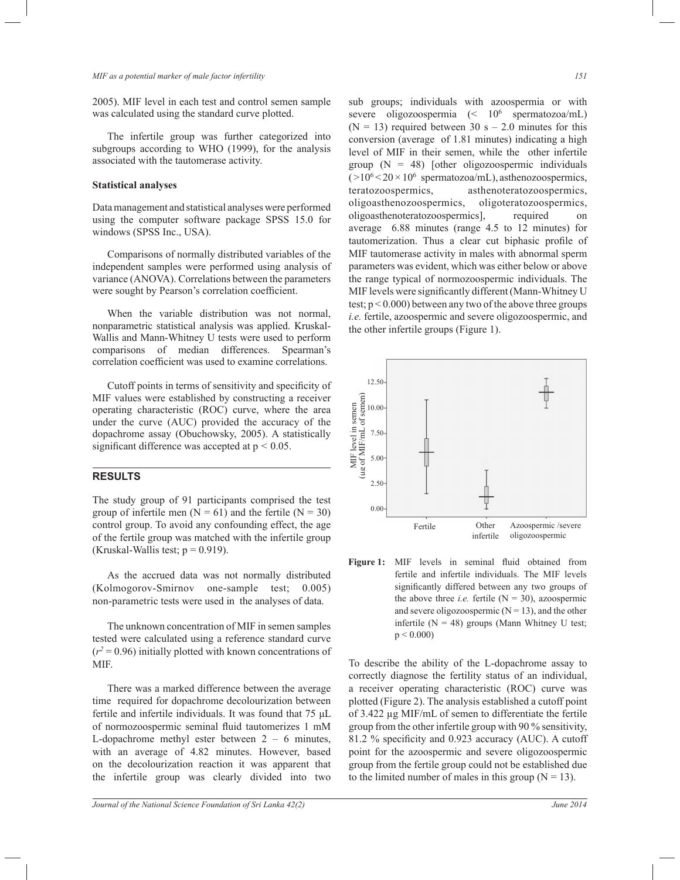2005). MIF level in each test and control semen sample was calculated using the standard curve plotted.

 The infertile group was further categorized into subgroups according to WHO (1999), for the analysis associated with the tautomerase activity.

#### **Statistical analyses**

Data management and statistical analyses were performed using the computer software package SPSS 15.0 for windows (SPSS Inc., USA).

 Comparisons of normally distributed variables of the independent samples were performed using analysis of variance (ANOVA). Correlations between the parameters were sought by Pearson's correlation coefficient.

 When the variable distribution was not normal, nonparametric statistical analysis was applied. Kruskal-Wallis and Mann-Whitney U tests were used to perform comparisons of median differences. Spearman's correlation coefficient was used to examine correlations.

Cutoff points in terms of sensitivity and specificity of MIF values were established by constructing a receiver operating characteristic (ROC) curve, where the area under the curve (AUC) provided the accuracy of the dopachrome assay (Obuchowsky, 2005). A statistically significant difference was accepted at p *<* 0.05.

### **RESULTS**

The study group of 91 participants comprised the test group of infertile men  $(N = 61)$  and the fertile  $(N = 30)$ control group. To avoid any confounding effect, the age of the fertile group was matched with the infertile group (Kruskal-Wallis test;  $p = 0.919$ ).

 As the accrued data was not normally distributed (Kolmogorov-Smirnov one-sample test; 0.005) non-parametric tests were used in the analyses of data.

 The unknown concentration of MIF in semen samples tested were calculated using a reference standard curve  $(r^2 = 0.96)$  initially plotted with known concentrations of MIF.

 There was a marked difference between the average time required for dopachrome decolourization between fertile and infertile individuals. It was found that 75 μL of normozoospermic seminal fluid tautomerizes 1 mM L-dopachrome methyl ester between  $2 - 6$  minutes, with an average of 4.82 minutes. However, based on the decolourization reaction it was apparent that the infertile group was clearly divided into two

sub groups; individuals with azoospermia or with severe oligozoospermia (< 10<sup>6</sup> spermatozoa/mL)  $(N = 13)$  required between 30 s – 2.0 minutes for this conversion (average of 1.81 minutes) indicating a high level of MIF in their semen, while the other infertile group  $(N = 48)$  [other oligozoospermic individuals  $(>10<sup>6</sup> < 20 \times 10<sup>6</sup>$  spermatozoa/mL), asthenozoospermics, teratozoospermics, asthenoteratozoospermics, oligoasthenozoospermics, oligoteratozoospermics, oligoasthenoteratozoospermics], required on average 6.88 minutes (range 4.5 to 12 minutes) for tautomerization. Thus a clear cut biphasic profile of MIF tautomerase activity in males with abnormal sperm parameters was evident, which was either below or above the range typical of normozoospermic individuals. The MIF levels were significantly different (Mann-Whitney U test;  $p < 0.000$ ) between any two of the above three groups *i.e.* fertile, azoospermic and severe oligozoospermic, and the other infertile groups (Figure 1).



**Figure 1:** MIF levels in seminal fluid obtained from fertile and infertile individuals. The MIF levels significantly differed between any two groups of the above three *i.e.* fertile  $(N = 30)$ , azoospermic and severe oligozoospermic  $(N = 13)$ , and the other infertile ( $N = 48$ ) groups (Mann Whitney U test;  $p < 0.000$ 

To describe the ability of the L-dopachrome assay to correctly diagnose the fertility status of an individual, a receiver operating characteristic (ROC) curve was plotted (Figure 2). The analysis established a cutoff point of 3.422 µg MIF/mL of semen to differentiate the fertile group from the other infertile group with 90 % sensitivity, 81.2 % specificity and 0.923 accuracy (AUC). A cutoff point for the azoospermic and severe oligozoospermic group from the fertile group could not be established due to the limited number of males in this group  $(N = 13)$ .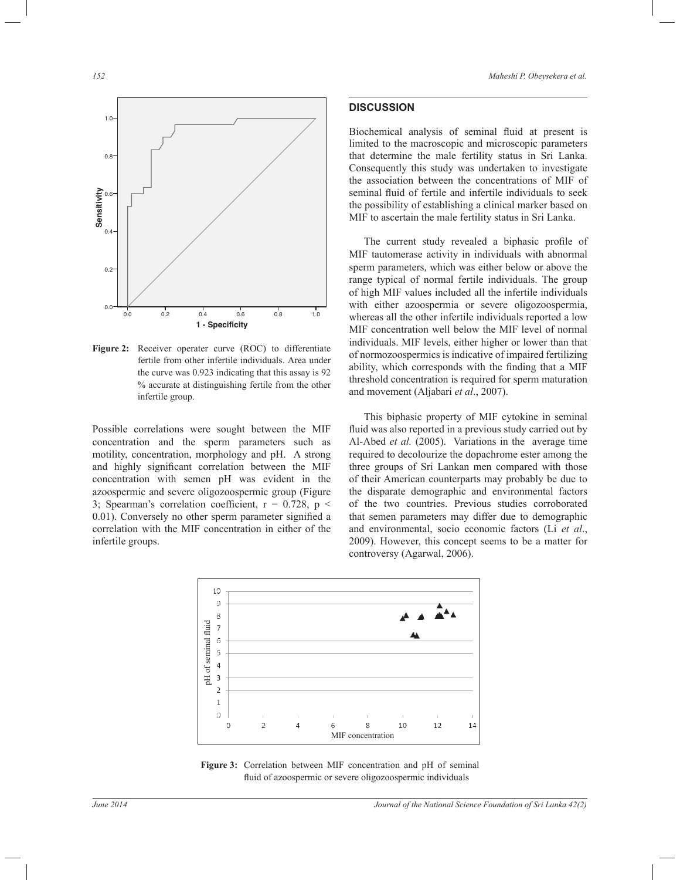

**Figure 2:** Receiver operater curve (ROC) to differentiate fertile from other infertile individuals. Area under the curve was 0.923 indicating that this assay is 92 % accurate at distinguishing fertile from the other infertile group.

Possible correlations were sought between the MIF concentration and the sperm parameters such as motility, concentration, morphology and pH. A strong and highly significant correlation between the MIF concentration with semen pH was evident in the azoospermic and severe oligozoospermic group (Figure 3; Spearman's correlation coefficient,  $r = 0.728$ ,  $p <$ 0.01). Conversely no other sperm parameter signified a correlation with the MIF concentration in either of the infertile groups.

## **DISCUSSION**

Biochemical analysis of seminal fluid at present is limited to the macroscopic and microscopic parameters that determine the male fertility status in Sri Lanka. Consequently this study was undertaken to investigate the association between the concentrations of MIF of seminal fluid of fertile and infertile individuals to seek the possibility of establishing a clinical marker based on MIF to ascertain the male fertility status in Sri Lanka.

The current study revealed a biphasic profile of MIF tautomerase activity in individuals with abnormal sperm parameters, which was either below or above the range typical of normal fertile individuals. The group of high MIF values included all the infertile individuals with either azoospermia or severe oligozoospermia, whereas all the other infertile individuals reported a low MIF concentration well below the MIF level of normal individuals. MIF levels, either higher or lower than that of normozoospermics is indicative of impaired fertilizing ability, which corresponds with the finding that a MIF threshold concentration is required for sperm maturation and movement (Aljabari *et al*., 2007).

 This biphasic property of MIF cytokine in seminal fluid was also reported in a previous study carried out by Al-Abed *et al.* (2005). Variations in the average time required to decolourize the dopachrome ester among the three groups of Sri Lankan men compared with those of their American counterparts may probably be due to the disparate demographic and environmental factors of the two countries. Previous studies corroborated that semen parameters may differ due to demographic and environmental, socio economic factors (Li *et al*., 2009). However, this concept seems to be a matter for controversy (Agarwal, 2006).



**Figure 3:** Correlation between MIF concentration and pH of seminal fluid of azoospermic or severe oligozoospermic individuals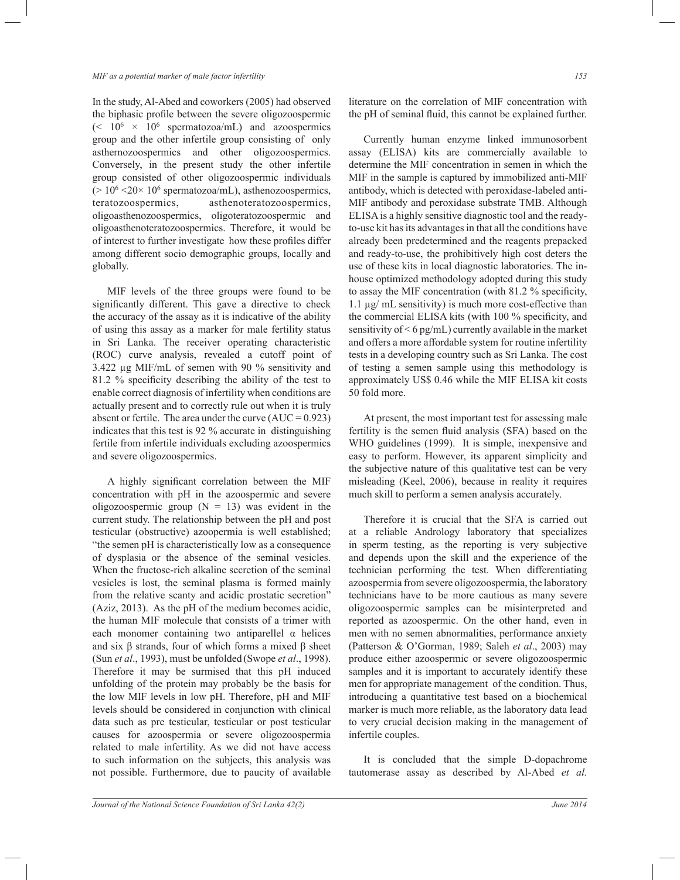#### *MIF as a potential marker of male factor infertility 153*

In the study, Al-Abed and coworkers (2005) had observed the biphasic profile between the severe oligozoospermic  $\approx 10^6 \times 10^6$  spermatozoa/mL) and azoospermics group and the other infertile group consisting of only asthernozoospermics and other oligozoospermics. Conversely, in the present study the other infertile group consisted of other oligozoospermic individuals  $(> 10<sup>6</sup> < 20<sup>×</sup> 10<sup>6</sup>$  spermatozoa/mL), asthenozoospermics, teratozoospermics, asthenoteratozoospermics, oligoasthenozoospermics, oligoteratozoospermic and oligoasthenoteratozoospermics. Therefore, it would be of interest to further investigate how these profiles differ among different socio demographic groups, locally and globally.

 MIF levels of the three groups were found to be significantly different. This gave a directive to check the accuracy of the assay as it is indicative of the ability of using this assay as a marker for male fertility status in Sri Lanka. The receiver operating characteristic (ROC) curve analysis, revealed a cutoff point of 3.422 µg MIF/mL of semen with 90 % sensitivity and 81.2 % specificity describing the ability of the test to enable correct diagnosis of infertility when conditions are actually present and to correctly rule out when it is truly absent or fertile. The area under the curve  $(AUC = 0.923)$ indicates that this test is 92 % accurate in distinguishing fertile from infertile individuals excluding azoospermics and severe oligozoospermics.

 A highly significant correlation between the MIF concentration with pH in the azoospermic and severe oligozoospermic group  $(N = 13)$  was evident in the current study. The relationship between the pH and post testicular (obstructive) azoopermia is well established; "the semen pH is characteristically low as a consequence of dysplasia or the absence of the seminal vesicles. When the fructose-rich alkaline secretion of the seminal vesicles is lost, the seminal plasma is formed mainly from the relative scanty and acidic prostatic secretion" (Aziz, 2013). As the pH of the medium becomes acidic, the human MIF molecule that consists of a trimer with each monomer containing two antiparellel  $\alpha$  helices and six β strands, four of which forms a mixed β sheet (Sun *et al*., 1993), must be unfolded (Swope *et al*., 1998). Therefore it may be surmised that this pH induced unfolding of the protein may probably be the basis for the low MIF levels in low pH. Therefore, pH and MIF levels should be considered in conjunction with clinical data such as pre testicular, testicular or post testicular causes for azoospermia or severe oligozoospermia related to male infertility. As we did not have access to such information on the subjects, this analysis was not possible. Furthermore, due to paucity of available

literature on the correlation of MIF concentration with the pH of seminal fluid, this cannot be explained further.

 Currently human enzyme linked immunosorbent assay (ELISA) kits are commercially available to determine the MIF concentration in semen in which the MIF in the sample is captured by immobilized anti-MIF antibody, which is detected with peroxidase-labeled anti-MIF antibody and peroxidase substrate TMB. Although ELISA is a highly sensitive diagnostic tool and the readyto-use kit has its advantages in that all the conditions have already been predetermined and the reagents prepacked and ready-to-use, the prohibitively high cost deters the use of these kits in local diagnostic laboratories. The inhouse optimized methodology adopted during this study to assay the MIF concentration (with 81.2 % specificity, 1.1 µg/ mL sensitivity) is much more cost-effective than the commercial ELISA kits (with 100 % specificity, and sensitivity of < 6 pg/mL) currently available in the market and offers a more affordable system for routine infertility tests in a developing country such as Sri Lanka. The cost of testing a semen sample using this methodology is approximately US\$ 0.46 while the MIF ELISA kit costs 50 fold more.

 At present, the most important test for assessing male fertility is the semen fluid analysis (SFA) based on the WHO guidelines (1999). It is simple, inexpensive and easy to perform. However, its apparent simplicity and the subjective nature of this qualitative test can be very misleading (Keel, 2006), because in reality it requires much skill to perform a semen analysis accurately.

 Therefore it is crucial that the SFA is carried out at a reliable Andrology laboratory that specializes in sperm testing, as the reporting is very subjective and depends upon the skill and the experience of the technician performing the test. When differentiating azoospermia from severe oligozoospermia, the laboratory technicians have to be more cautious as many severe oligozoospermic samples can be misinterpreted and reported as azoospermic. On the other hand, even in men with no semen abnormalities, performance anxiety (Patterson & O'Gorman, 1989; Saleh *et al*., 2003) may produce either azoospermic or severe oligozoospermic samples and it is important to accurately identify these men for appropriate management of the condition. Thus, introducing a quantitative test based on a biochemical marker is much more reliable, as the laboratory data lead to very crucial decision making in the management of infertile couples.

 It is concluded that the simple D-dopachrome tautomerase assay as described by Al-Abed *et al.*